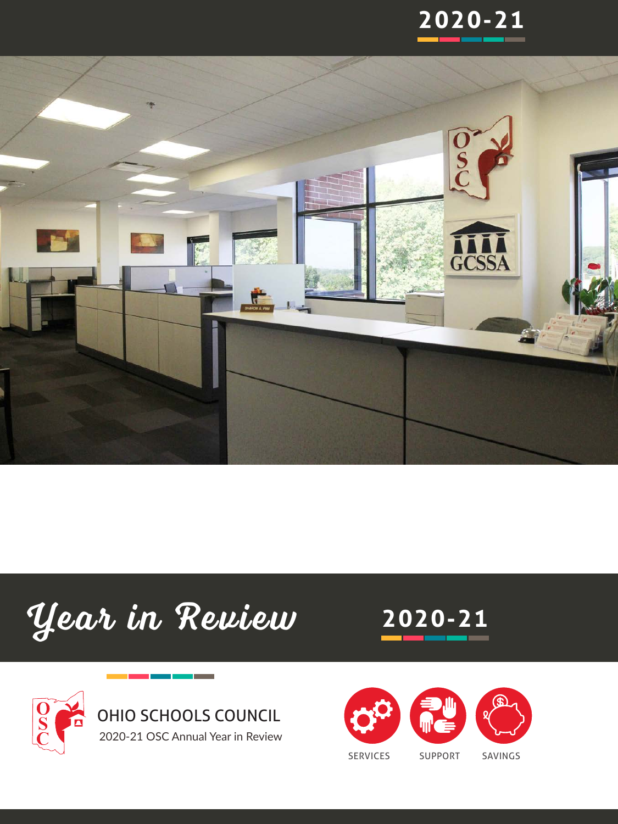









**2020-21**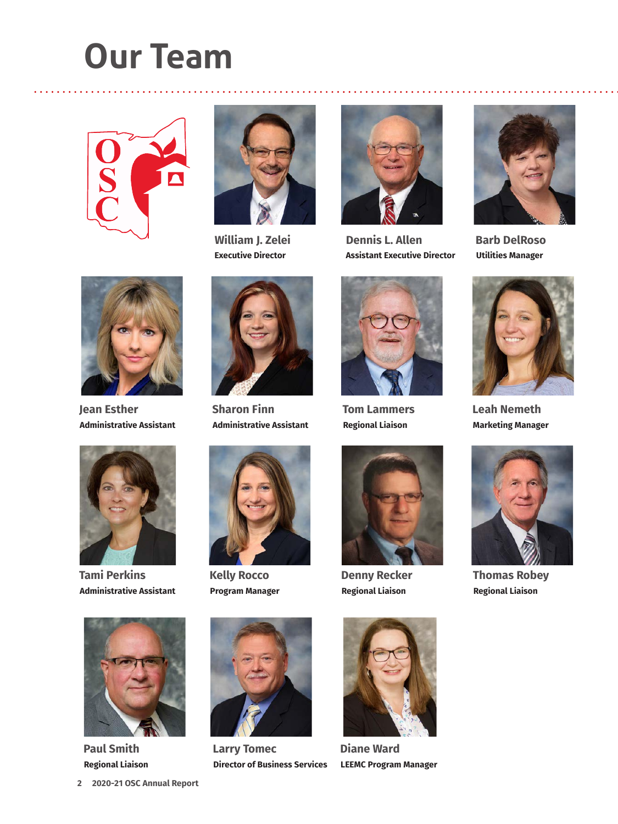# **Our Team**





**William J. Zelei Executive Director** Highlight your samples of the samples of the samples of the samples of the samples of the samples of the samples of the samples of the samples of the samples of the samples of the samples of the samples of the samples of t



. . . . . . . . . .

**Dennis L. Allen Assistant Executive Director**



**Barb DelRoso Utilities Manager**



**Jean Esther Administrative Assistant**



**Tami Perkins Administrative Assistant**



**Paul Smith Regional Liaison**



**Sharon Finn Administrative Assistant**



**Kelly Rocco Program Manager**



**Larry Tomec Director of Business Services**



**Tom Lammers Regional Liaison**



**Denny Recker Regional Liaison**



**Diane Ward LEEMC Program Manager**



**Leah Nemeth Marketing Manager**



**Thomas Robey Regional Liaison**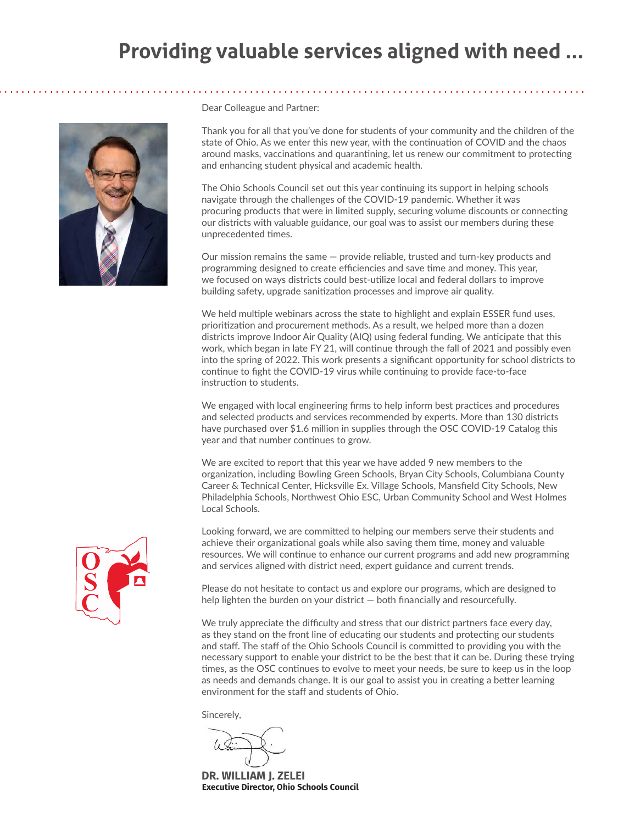## **Providing valuable services aligned with need ...**



Dear Colleague and Partner:

Thank you for all that you've done for students of your community and the children of the state of Ohio. As we enter this new year, with the continuation of COVID and the chaos around masks, vaccinations and quarantining, let us renew our commitment to protecting and enhancing student physical and academic health.

The Ohio Schools Council set out this year continuing its support in helping schools navigate through the challenges of the COVID-19 pandemic. Whether it was procuring products that were in limited supply, securing volume discounts or connecting our districts with valuable guidance, our goal was to assist our members during these unprecedented times.

Our mission remains the same — provide reliable, trusted and turn-key products and programming designed to create efficiencies and save time and money. This year, we focused on ways districts could best-utilize local and federal dollars to improve building safety, upgrade sanitization processes and improve air quality.

We held multiple webinars across the state to highlight and explain ESSER fund uses, prioritization and procurement methods. As a result, we helped more than a dozen districts improve Indoor Air Quality (AIQ) using federal funding. We anticipate that this work, which began in late FY 21, will continue through the fall of 2021 and possibly even into the spring of 2022. This work presents a significant opportunity for school districts to continue to fight the COVID-19 virus while continuing to provide face-to-face instruction to students.

We engaged with local engineering firms to help inform best practices and procedures and selected products and services recommended by experts. More than 130 districts have purchased over \$1.6 million in supplies through the OSC COVID-19 Catalog this year and that number continues to grow.

We are excited to report that this year we have added 9 new members to the organization, including Bowling Green Schools, Bryan City Schools, Columbiana County Career & Technical Center, Hicksville Ex. Village Schools, Mansfield City Schools, New Philadelphia Schools, Northwest Ohio ESC, Urban Community School and West Holmes Local Schools.

Looking forward, we are committed to helping our members serve their students and achieve their organizational goals while also saving them time, money and valuable resources. We will continue to enhance our current programs and add new programming and services aligned with district need, expert guidance and current trends.

Please do not hesitate to contact us and explore our programs, which are designed to help lighten the burden on your district — both financially and resourcefully.

We truly appreciate the difficulty and stress that our district partners face every day, as they stand on the front line of educating our students and protecting our students and staff. The staff of the Ohio Schools Council is committed to providing you with the necessary support to enable your district to be the best that it can be. During these trying times, as the OSC continues to evolve to meet your needs, be sure to keep us in the loop as needs and demands change. It is our goal to assist you in creating a better learning environment for the staff and students of Ohio.

Sincerely,

**DR. WILLIAM J. ZELEI Executive Director, Ohio Schools Council** 

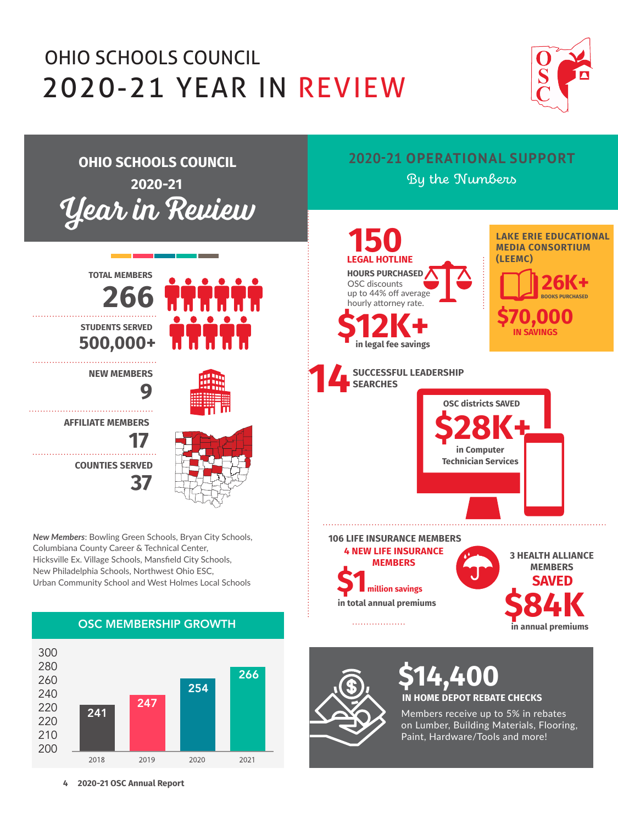## 2020-21 YEAR IN REVIEW OHIO SCHOOLS COUNCIL





**4 2020-21 OSC Annual Report**

2019

2020

2021

2018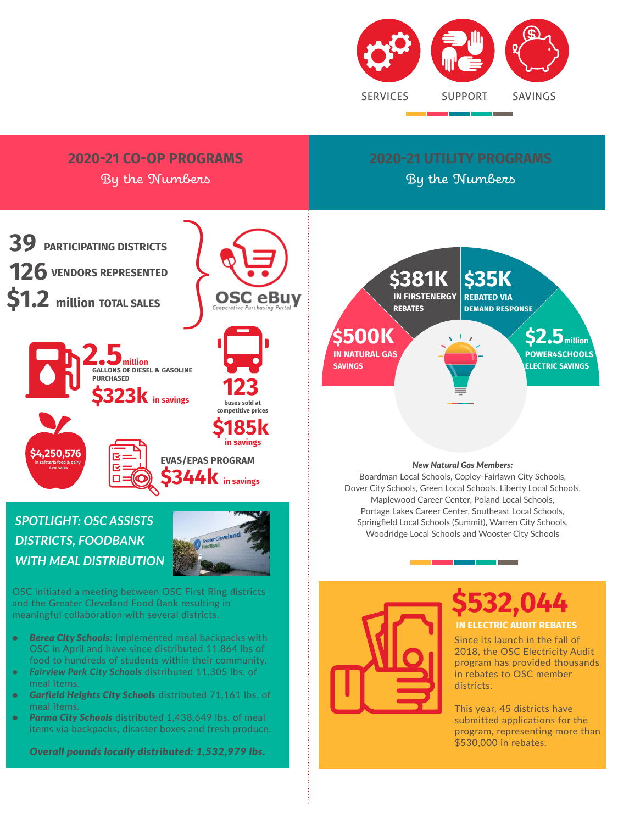

## **2020-21 CO-OP PROGRAMS**

By the Numbers

By the Numbers



## *SPOTLIGHT: OSC ASSISTS DISTRICTS, FOODBANK WITH MEAL DISTRIBUTION*



OSC initiated a meeting between OSC First Ring districts and the Greater Cleveland Food Bank resulting in meaningful collaboration with several districts.

- *• Berea City Schools*: Implemented meal backpacks with OSC in April and have since distributed 11,864 lbs of food to hundreds of students within their community.
- *• Fairview Park City Schools* distributed 11,305 lbs. of meal items.
- *• Garfield Heights City Schools* distributed 71,161 lbs. of meal items.
- *• Parma City Schools* distributed 1,438,649 lbs. of meal items via backpacks, disaster boxes and fresh produce.

*Overall pounds locally distributed: 1,532,979 lbs.*



#### *New Natural Gas Members:*

Boardman Local Schools, Copley-Fairlawn City Schools, Dover City Schools, Green Local Schools, Liberty Local Schools, Maplewood Career Center, Poland Local Schools, Portage Lakes Career Center, Southeast Local Schools, Springfield Local Schools (Summit), Warren City Schools, Woodridge Local Schools and Wooster City Schools



## **\$532,044 IN ELECTRIC AUDIT REBATES**

Since its launch in the fall of 2018, the OSC Electricity Audit program has provided thousands in rebates to OSC member districts.

This year, 45 districts have submitted applications for the program, representing more than \$530,000 in rebates.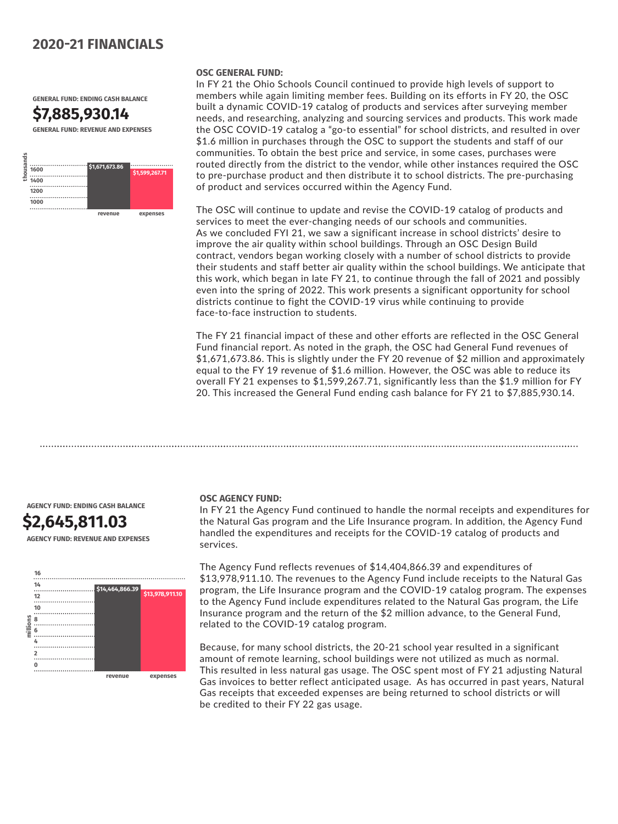### **2020-21 FINANCIALS**

**GENERAL FUND: ENDING CASH BALANCE**





#### **OSC GENERAL FUND:**

In FY 21 the Ohio Schools Council continued to provide high levels of support to members while again limiting member fees. Building on its efforts in FY 20, the OSC built a dynamic COVID-19 catalog of products and services after surveying member needs, and researching, analyzing and sourcing services and products. This work made the OSC COVID-19 catalog a "go-to essential" for school districts, and resulted in over \$1.6 million in purchases through the OSC to support the students and staff of our communities. To obtain the best price and service, in some cases, purchases were routed directly from the district to the vendor, while other instances required the OSC to pre-purchase product and then distribute it to school districts. The pre-purchasing of product and services occurred within the Agency Fund.

The OSC will continue to update and revise the COVID-19 catalog of products and services to meet the ever-changing needs of our schools and communities. As we concluded FYI 21, we saw a significant increase in school districts' desire to improve the air quality within school buildings. Through an OSC Design Build contract, vendors began working closely with a number of school districts to provide their students and staff better air quality within the school buildings. We anticipate that this work, which began in late FY 21, to continue through the fall of 2021 and possibly even into the spring of 2022. This work presents a significant opportunity for school districts continue to fight the COVID-19 virus while continuing to provide face-to-face instruction to students.

The FY 21 financial impact of these and other efforts are reflected in the OSC General Fund financial report. As noted in the graph, the OSC had General Fund revenues of \$1,671,673.86. This is slightly under the FY 20 revenue of \$2 million and approximately equal to the FY 19 revenue of \$1.6 million. However, the OSC was able to reduce its overall FY 21 expenses to \$1,599,267.71, significantly less than the \$1.9 million for FY 20. This increased the General Fund ending cash balance for FY 21 to \$7,885,930.14.

**AGENCY FUND: ENDING CASH BALANCE**

## **\$2,645,811.03**

**AGENCY FUND: REVENUE AND EXPENSES**



#### **OSC AGENCY FUND:**

In FY 21 the Agency Fund continued to handle the normal receipts and expenditures for the Natural Gas program and the Life Insurance program. In addition, the Agency Fund handled the expenditures and receipts for the COVID-19 catalog of products and services.

The Agency Fund reflects revenues of \$14,404,866.39 and expenditures of \$13,978,911.10. The revenues to the Agency Fund include receipts to the Natural Gas program, the Life Insurance program and the COVID-19 catalog program. The expenses to the Agency Fund include expenditures related to the Natural Gas program, the Life Insurance program and the return of the \$2 million advance, to the General Fund, related to the COVID-19 catalog program.

Because, for many school districts, the 20-21 school year resulted in a significant amount of remote learning, school buildings were not utilized as much as normal. This resulted in less natural gas usage. The OSC spent most of FY 21 adjusting Natural Gas invoices to better reflect anticipated usage. As has occurred in past years, Natural Gas receipts that exceeded expenses are being returned to school districts or will be credited to their FY 22 gas usage.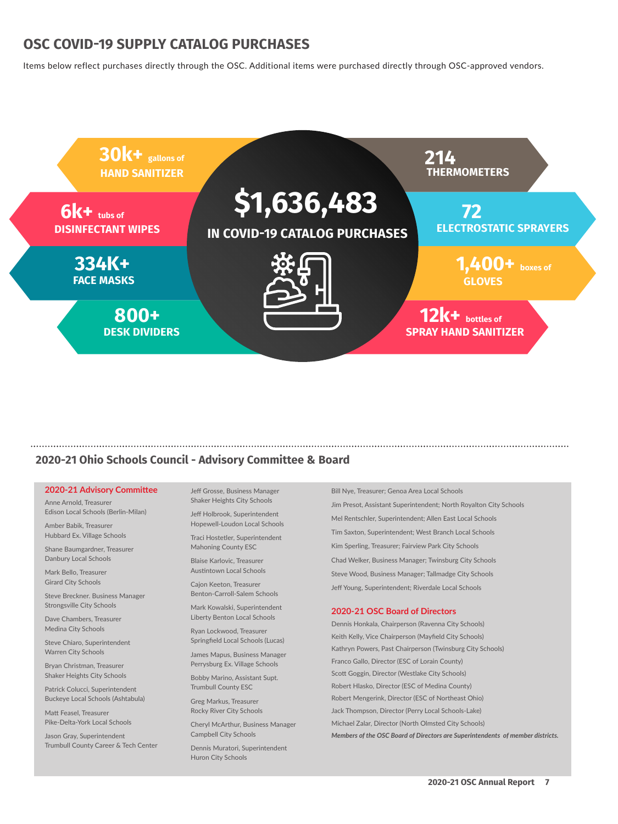### **OSC COVID-19 SUPPLY CATALOG PURCHASES**

Items below reflect purchases directly through the OSC. Additional items were purchased directly through OSC-approved vendors.



#### **2020-21 Ohio Schools Council - Advisory Committee & Board**

#### **2020-21 Advisory Committee**

Anne Arnold, Treasurer Edison Local Schools (Berlin-Milan)

Amber Babik, Treasurer Hubbard Ex. Village Schools

Shane Baumgardner, Treasurer Danbury Local Schools

Mark Bello, Treasurer Girard City Schools

Steve Breckner. Business Manager Strongsville City Schools

Dave Chambers, Treasurer Medina City Schools

Steve Chiaro, Superintendent Warren City Schools

Bryan Christman, Treasurer Shaker Heights City Schools

Patrick Colucci, Superintendent Buckeye Local Schools (Ashtabula)

Matt Feasel, Treasurer Pike-Delta-York Local Schools

Jason Gray, Superintendent Trumbull County Career & Tech Center

Jeff Grosse, Business Manager Shaker Heights City Schools

Jeff Holbrook, Superintendent Hopewell-Loudon Local Schools

Traci Hostetler, Superintendent Mahoning County ESC

Blaise Karlovic, Treasurer Austintown Local Schools

Cajon Keeton, Treasurer Benton-Carroll-Salem Schools

Mark Kowalski, Superintendent Liberty Benton Local Schools

Ryan Lockwood, Treasurer Springfield Local Schools (Lucas)

James Mapus, Business Manager Perrysburg Ex. Village Schools Bobby Marino, Assistant Supt.

Trumbull County ESC

Greg Markus, Treasurer Rocky River City Schools

Cheryl McArthur, Business Manager Campbell City Schools

Dennis Muratori, Superintendent Huron City Schools

Bill Nye, Treasurer; Genoa Area Local Schools Jim Presot, Assistant Superintendent; North Royalton City Schools Mel Rentschler, Superintendent; Allen East Local Schools Tim Saxton, Superintendent; West Branch Local Schools Kim Sperling, Treasurer; Fairview Park City Schools Chad Welker, Business Manager; Twinsburg City Schools Steve Wood, Business Manager; Tallmadge City Schools Jeff Young, Superintendent; Riverdale Local Schools

#### **2020-21 OSC Board of Directors**

Dennis Honkala, Chairperson (Ravenna City Schools) Keith Kelly, Vice Chairperson (Mayfield City Schools) Kathryn Powers, Past Chairperson (Twinsburg City Schools) Franco Gallo, Director (ESC of Lorain County) Scott Goggin, Director (Westlake City Schools) Robert Hlasko, Director (ESC of Medina County) Robert Mengerink, Director (ESC of Northeast Ohio) Jack Thompson, Director (Perry Local Schools-Lake) Michael Zalar, Director (North Olmsted City Schools) *Members of the OSC Board of Directors are Superintendents of member districts.*